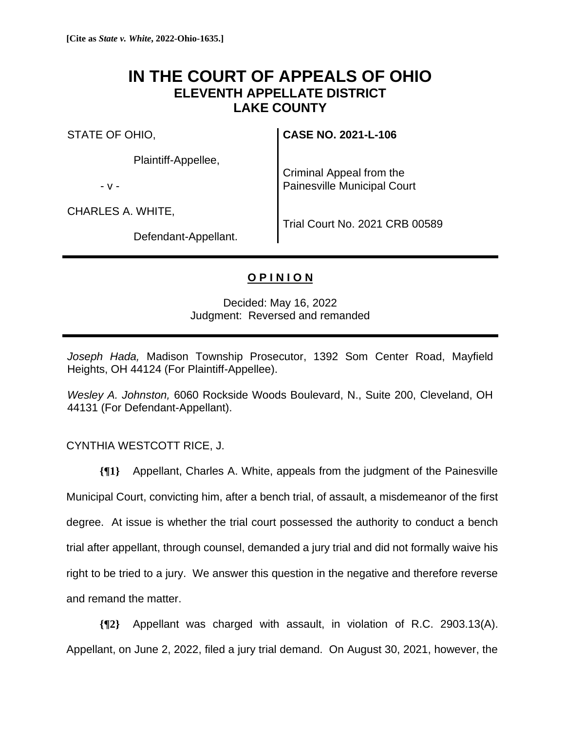## **IN THE COURT OF APPEALS OF OHIO ELEVENTH APPELLATE DISTRICT LAKE COUNTY**

STATE OF OHIO,

Plaintiff-Appellee,

- v -

CHARLES A. WHITE,

Criminal Appeal from the Painesville Municipal Court

**CASE NO. 2021-L-106**

Defendant-Appellant.

Trial Court No. 2021 CRB 00589

## **O P I N I O N**

## Decided: May 16, 2022 Judgment: Reversed and remanded

*Joseph Hada,* Madison Township Prosecutor, 1392 Som Center Road, Mayfield Heights, OH 44124 (For Plaintiff-Appellee).

*Wesley A. Johnston,* 6060 Rockside Woods Boulevard, N., Suite 200, Cleveland, OH 44131 (For Defendant-Appellant).

## CYNTHIA WESTCOTT RICE, J.

**{¶1}** Appellant, Charles A. White, appeals from the judgment of the Painesville Municipal Court, convicting him, after a bench trial, of assault, a misdemeanor of the first degree. At issue is whether the trial court possessed the authority to conduct a bench trial after appellant, through counsel, demanded a jury trial and did not formally waive his right to be tried to a jury. We answer this question in the negative and therefore reverse and remand the matter.

**{¶2}** Appellant was charged with assault, in violation of R.C. 2903.13(A). Appellant, on June 2, 2022, filed a jury trial demand. On August 30, 2021, however, the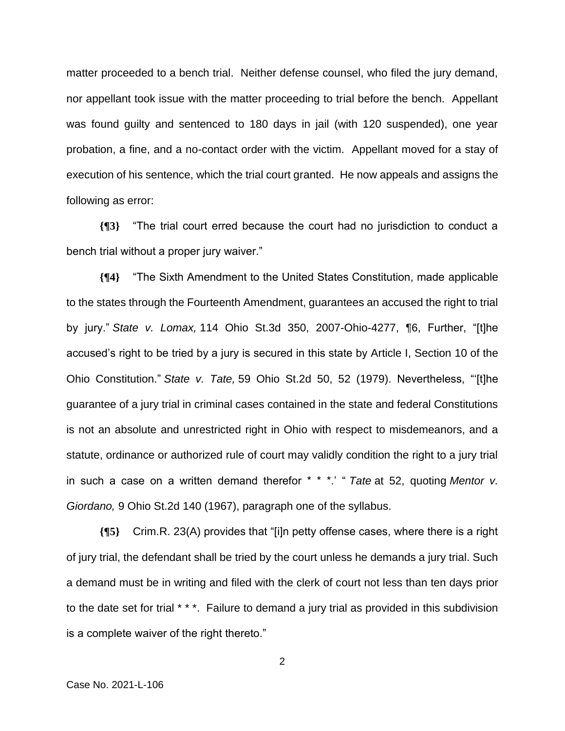matter proceeded to a bench trial. Neither defense counsel, who filed the jury demand, nor appellant took issue with the matter proceeding to trial before the bench. Appellant was found guilty and sentenced to 180 days in jail (with 120 suspended), one year probation, a fine, and a no-contact order with the victim. Appellant moved for a stay of execution of his sentence, which the trial court granted. He now appeals and assigns the following as error:

**{¶3}** "The trial court erred because the court had no jurisdiction to conduct a bench trial without a proper jury waiver."

**{¶4}** "The Sixth Amendment to the United States Constitution, made applicable to the states through the Fourteenth Amendment, guarantees an accused the right to trial by jury." *State v. Lomax,* 114 Ohio St.3d 350, 2007-Ohio-4277, ¶6, Further, "[t]he accused's right to be tried by a jury is secured in this state by Article I, Section 10 of the Ohio Constitution." *State v. Tate,* 59 Ohio St.2d 50, 52 (1979). Nevertheless, "'[t]he guarantee of a jury trial in criminal cases contained in the state and federal Constitutions is not an absolute and unrestricted right in Ohio with respect to misdemeanors, and a statute, ordinance or authorized rule of court may validly condition the right to a jury trial in such a case on a written demand therefor \* \* \*.' " *Tate* at 52, quoting *Mentor v. Giordano,* 9 Ohio St.2d 140 (1967), paragraph one of the syllabus.

**{¶5}** Crim.R. 23(A) provides that "[i]n petty offense cases, where there is a right of jury trial, the defendant shall be tried by the court unless he demands a jury trial. Such a demand must be in writing and filed with the clerk of court not less than ten days prior to the date set for trial \* \* \*. Failure to demand a jury trial as provided in this subdivision is a complete waiver of the right thereto."

2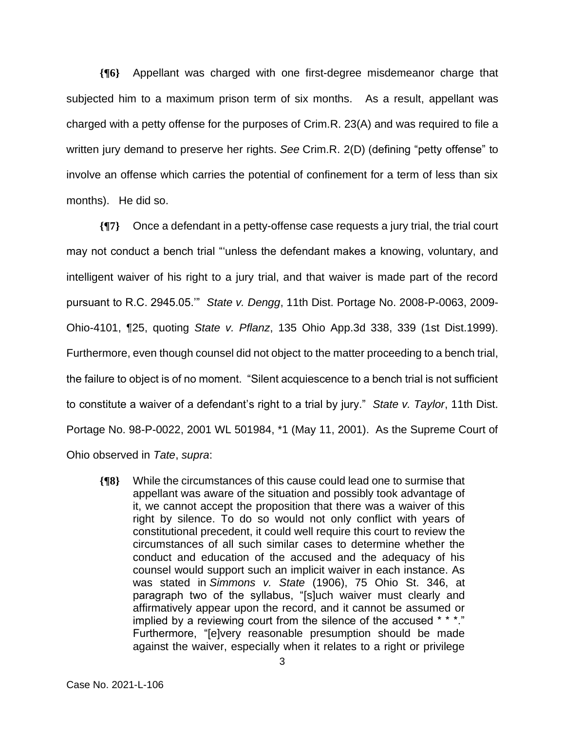**{¶6}** Appellant was charged with one first-degree misdemeanor charge that subjected him to a maximum prison term of six months. As a result, appellant was charged with a petty offense for the purposes of Crim.R. 23(A) and was required to file a written jury demand to preserve her rights. *See* Crim.R. 2(D) (defining "petty offense" to involve an offense which carries the potential of confinement for a term of less than six months). He did so.

**{¶7}** Once a defendant in a petty-offense case requests a jury trial, the trial court may not conduct a bench trial "'unless the defendant makes a knowing, voluntary, and intelligent waiver of his right to a jury trial, and that waiver is made part of the record pursuant to R.C. 2945.05.'" *State v. Dengg*, 11th Dist. Portage No. 2008-P-0063, 2009- Ohio-4101, ¶25, quoting *State v. Pflanz*, 135 Ohio App.3d 338, 339 (1st Dist.1999). Furthermore, even though counsel did not object to the matter proceeding to a bench trial, the failure to object is of no moment. "Silent acquiescence to a bench trial is not sufficient to constitute a waiver of a defendant's right to a trial by jury." *State v. Taylor*, 11th Dist. Portage No. 98-P-0022, 2001 WL 501984, \*1 (May 11, 2001). As the Supreme Court of Ohio observed in *Tate*, *supra*:

**{¶8}** While the circumstances of this cause could lead one to surmise that appellant was aware of the situation and possibly took advantage of it, we cannot accept the proposition that there was a waiver of this right by silence. To do so would not only conflict with years of constitutional precedent, it could well require this court to review the circumstances of all such similar cases to determine whether the conduct and education of the accused and the adequacy of his counsel would support such an implicit waiver in each instance. As was stated in *Simmons v. State* (1906), 75 Ohio St. 346, at paragraph two of the syllabus, "[s]uch waiver must clearly and affirmatively appear upon the record, and it cannot be assumed or implied by a reviewing court from the silence of the accused \* \* \*." Furthermore, "[e]very reasonable presumption should be made against the waiver, especially when it relates to a right or privilege